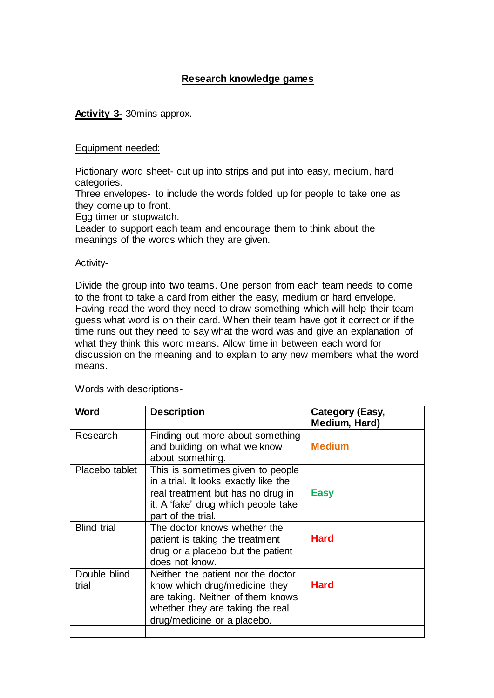## **Research knowledge games**

**Activity 3-** 30mins approx.

## Equipment needed:

Pictionary word sheet- cut up into strips and put into easy, medium, hard categories.

Three envelopes- to include the words folded up for people to take one as they come up to front.

Egg timer or stopwatch.

Leader to support each team and encourage them to think about the meanings of the words which they are given.

## Activity-

Divide the group into two teams. One person from each team needs to come to the front to take a card from either the easy, medium or hard envelope. Having read the word they need to draw something which will help their team guess what word is on their card. When their team have got it correct or if the time runs out they need to say what the word was and give an explanation of what they think this word means. Allow time in between each word for discussion on the meaning and to explain to any new members what the word means.

Words with descriptions-

| <b>Word</b>           | <b>Description</b>                                                                                                                                                           | <b>Category (Easy,</b><br>Medium, Hard) |
|-----------------------|------------------------------------------------------------------------------------------------------------------------------------------------------------------------------|-----------------------------------------|
| Research              | Finding out more about something<br>and building on what we know<br>about something.                                                                                         | <b>Medium</b>                           |
| Placebo tablet        | This is sometimes given to people<br>in a trial. It looks exactly like the<br>real treatment but has no drug in<br>it. A 'fake' drug which people take<br>part of the trial. | <b>Easy</b>                             |
| <b>Blind trial</b>    | The doctor knows whether the<br>patient is taking the treatment<br>drug or a placebo but the patient<br>does not know.                                                       | <b>Hard</b>                             |
| Double blind<br>trial | Neither the patient nor the doctor<br>know which drug/medicine they<br>are taking. Neither of them knows<br>whether they are taking the real<br>drug/medicine or a placebo.  | <b>Hard</b>                             |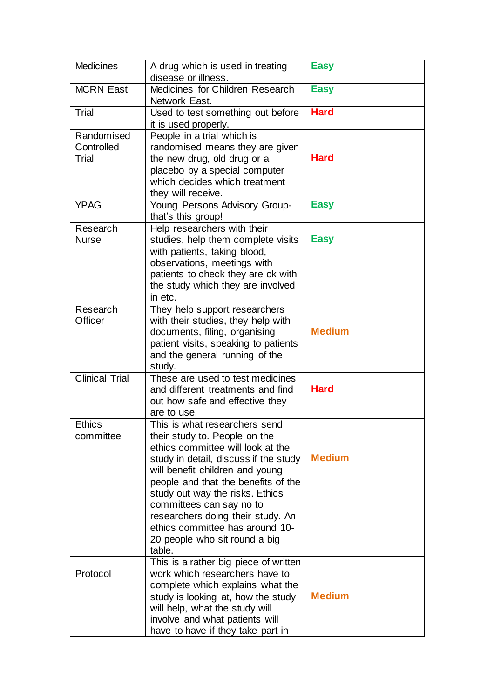| <b>Medicines</b>                  | A drug which is used in treating<br>disease or illness.                                                                                                                                                                                                                                                                                                                                                  | <b>Easy</b>   |
|-----------------------------------|----------------------------------------------------------------------------------------------------------------------------------------------------------------------------------------------------------------------------------------------------------------------------------------------------------------------------------------------------------------------------------------------------------|---------------|
| <b>MCRN East</b>                  | Medicines for Children Research<br>Network East.                                                                                                                                                                                                                                                                                                                                                         | <b>Easy</b>   |
| Trial                             | Used to test something out before<br>it is used properly.                                                                                                                                                                                                                                                                                                                                                | <b>Hard</b>   |
| Randomised<br>Controlled<br>Trial | People in a trial which is<br>randomised means they are given<br>the new drug, old drug or a<br>placebo by a special computer<br>which decides which treatment<br>they will receive.                                                                                                                                                                                                                     | <b>Hard</b>   |
| <b>YPAG</b>                       | Young Persons Advisory Group-<br>that's this group!                                                                                                                                                                                                                                                                                                                                                      | <b>Easy</b>   |
| Research<br><b>Nurse</b>          | Help researchers with their<br>studies, help them complete visits<br>with patients, taking blood,<br>observations, meetings with<br>patients to check they are ok with<br>the study which they are involved<br>in etc.                                                                                                                                                                                   | <b>Easy</b>   |
| Research<br>Officer               | They help support researchers<br>with their studies, they help with<br>documents, filing, organising<br>patient visits, speaking to patients<br>and the general running of the<br>study.                                                                                                                                                                                                                 | <b>Medium</b> |
| <b>Clinical Trial</b>             | These are used to test medicines<br>and different treatments and find<br>out how safe and effective they<br>are to use.                                                                                                                                                                                                                                                                                  | <b>Hard</b>   |
| <b>Ethics</b><br>committee        | This is what researchers send<br>their study to. People on the<br>ethics committee will look at the<br>study in detail, discuss if the study<br>will benefit children and young<br>people and that the benefits of the<br>study out way the risks. Ethics<br>committees can say no to<br>researchers doing their study. An<br>ethics committee has around 10-<br>20 people who sit round a big<br>table. | <b>Medium</b> |
| Protocol                          | This is a rather big piece of written<br>work which researchers have to<br>complete which explains what the<br>study is looking at, how the study<br>will help, what the study will<br>involve and what patients will<br>have to have if they take part in                                                                                                                                               | <b>Medium</b> |